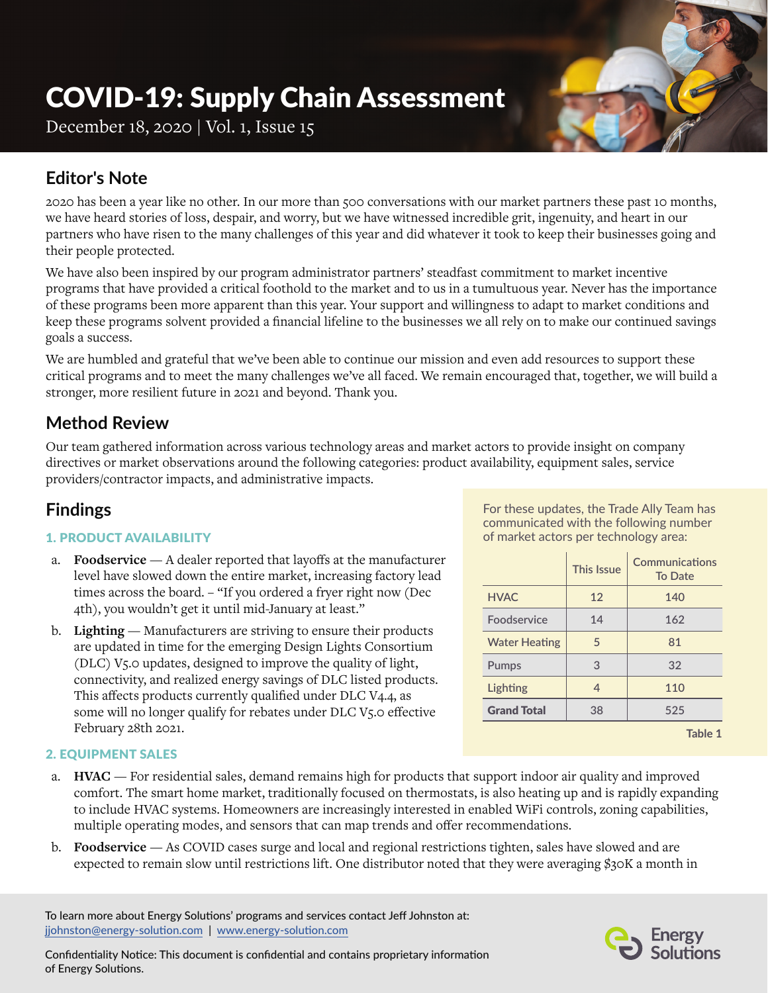# COVID-19: Supply Chain Assessment

December 18, 2020 | Vol. 1, Issue 15

# **Editor's Note**

2020 has been a year like no other. In our more than 500 conversations with our market partners these past 10 months, we have heard stories of loss, despair, and worry, but we have witnessed incredible grit, ingenuity, and heart in our partners who have risen to the many challenges of this year and did whatever it took to keep their businesses going and their people protected.

We have also been inspired by our program administrator partners' steadfast commitment to market incentive programs that have provided a critical foothold to the market and to us in a tumultuous year. Never has the importance of these programs been more apparent than this year. Your support and willingness to adapt to market conditions and keep these programs solvent provided a financial lifeline to the businesses we all rely on to make our continued savings goals a success.

We are humbled and grateful that we've been able to continue our mission and even add resources to support these critical programs and to meet the many challenges we've all faced. We remain encouraged that, together, we will build a stronger, more resilient future in 2021 and beyond. Thank you.

# **Method Review**

Our team gathered information across various technology areas and market actors to provide insight on company directives or market observations around the following categories: product availability, equipment sales, service providers/contractor impacts, and administrative impacts.

## **Findings**

## 1. PRODUCT AVAILABILITY

- a. **Foodservice**  A dealer reported that layoffs at the manufacturer level have slowed down the entire market, increasing factory lead times across the board. – "If you ordered a fryer right now (Dec 4th), you wouldn't get it until mid-January at least."
- b. **Lighting**  Manufacturers are striving to ensure their products are updated in time for the emerging Design Lights Consortium (DLC) V5.0 updates, designed to improve the quality of light, connectivity, and realized energy savings of DLC listed products. This affects products currently qualified under DLC V4.4, as some will no longer qualify for rebates under DLC V5.0 effective February 28th 2021.

For these updates, the Trade Ally Team has communicated with the following number of market actors per technology area:

|                      | <b>This Issue</b> | Communications<br><b>To Date</b> |
|----------------------|-------------------|----------------------------------|
| <b>HVAC</b>          | 12                | 140                              |
| Foodservice          | 14                | 162                              |
| <b>Water Heating</b> | 5                 | 81                               |
| Pumps                | 3                 | 32                               |
| Lighting             | 4                 | 110                              |
| <b>Grand Total</b>   | 38                | 525                              |
|                      |                   | Table 1                          |

## 2. EQUIPMENT SALES

- a. **HVAC** For residential sales, demand remains high for products that support indoor air quality and improved comfort. The smart home market, traditionally focused on thermostats, is also heating up and is rapidly expanding to include HVAC systems. Homeowners are increasingly interested in enabled WiFi controls, zoning capabilities, multiple operating modes, and sensors that can map trends and offer recommendations.
- b. **Foodservice**  As COVID cases surge and local and regional restrictions tighten, sales have slowed and are expected to remain slow until restrictions lift. One distributor noted that they were averaging \$30K a month in

To learn more about Energy Solutions' programs and services contact Jeff Johnston at: [jjohnston@energy-solution.com](mailto:jjohnston%40energy-solution.com?subject=) | [www.energy-solution.com](http://www.energy-solution.com)